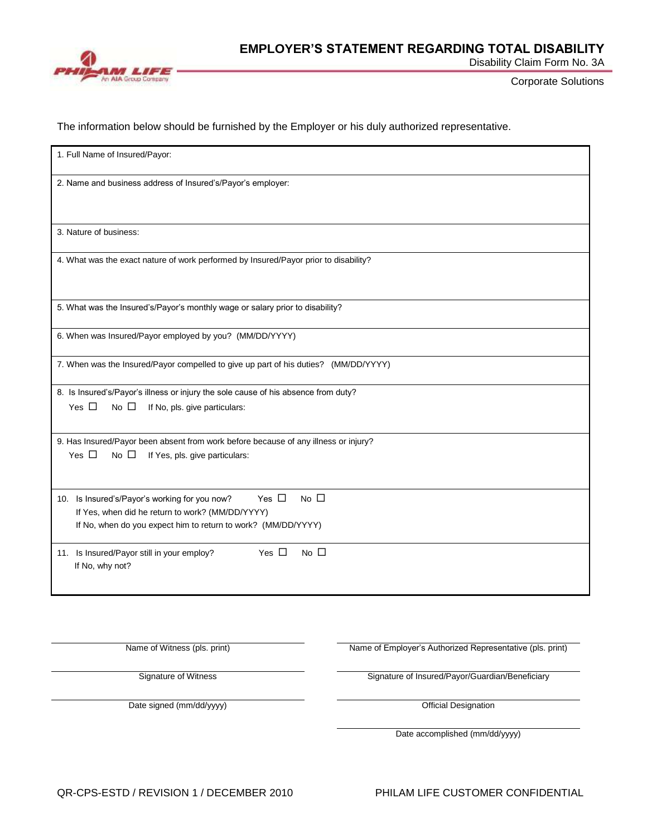

Disability Claim Form No. 3A

Corporate Solutions

The information below should be furnished by the Employer or his duly authorized representative.

| 1. Full Name of Insured/Payor:                                                                                                 |
|--------------------------------------------------------------------------------------------------------------------------------|
| 2. Name and business address of Insured's/Payor's employer:                                                                    |
|                                                                                                                                |
| 3. Nature of business:                                                                                                         |
| 4. What was the exact nature of work performed by Insured/Payor prior to disability?                                           |
|                                                                                                                                |
| 5. What was the Insured's/Payor's monthly wage or salary prior to disability?                                                  |
| 6. When was Insured/Payor employed by you? (MM/DD/YYYY)                                                                        |
| 7. When was the Insured/Payor compelled to give up part of his duties? (MM/DD/YYYY)                                            |
| 8. Is Insured's/Payor's illness or injury the sole cause of his absence from duty?                                             |
| Yes $\Box$<br>No $\Box$<br>If No, pls. give particulars:                                                                       |
| 9. Has Insured/Payor been absent from work before because of any illness or injury?                                            |
| Yes $\Box$<br>No $\square$<br>If Yes, pls. give particulars:                                                                   |
|                                                                                                                                |
| Yes $\Box$<br>$No$ $\Box$<br>10. Is Insured's/Payor's working for you now?<br>If Yes, when did he return to work? (MM/DD/YYYY) |
| If No, when do you expect him to return to work? (MM/DD/YYYY)                                                                  |
| Yes $\square$<br>No $\square$<br>11. Is Insured/Payor still in your employ?<br>If No, why not?                                 |
|                                                                                                                                |

Name of Witness (pls. print) Name of Employer's Authorized Representative (pls. print) Signature of Witness Signature of Insured/Payor/Guardian/Beneficiary Date signed (mm/dd/yyyy) **Date signed (mm/dd/yyyy)** Official Designation Date accomplished (mm/dd/yyyy)